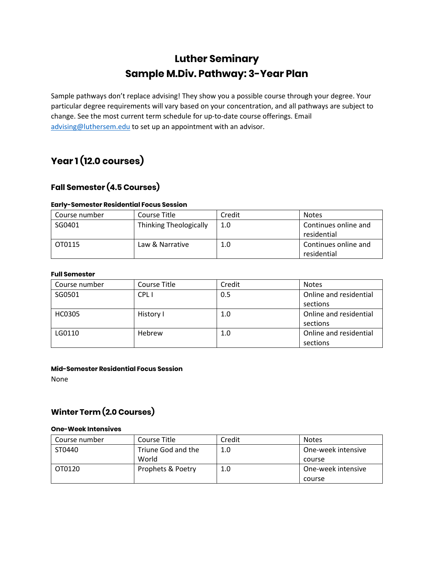### **Luther Seminary Sample M.Div. Pathway: 3-Year Plan**

Sample pathways don't replace advising! They show you a possible course through your degree. Your particular degree requirements will vary based on your concentration, and all pathways are subject to change. See the most current term schedule for up-to-date course offerings. Email [advising@luthersem.edu](mailto:advising@luthersem.edu) to set up an appointment with an advisor.

## **Year 1 (12.0 courses)**

### **Fall Semester (4.5 Courses)**

#### **Early-Semester Residential Focus Session**

| Course number | Course Title           | Credit | <b>Notes</b>                        |
|---------------|------------------------|--------|-------------------------------------|
| SG0401        | Thinking Theologically | 1.0    | Continues online and<br>residential |
| OT0115        | Law & Narrative        | 1.0    | Continues online and<br>residential |

#### **Full Semester**

| Course number | Course Title | Credit | <b>Notes</b>           |
|---------------|--------------|--------|------------------------|
| SG0501        | <b>CPLI</b>  | 0.5    | Online and residential |
|               |              |        | sections               |
| <b>HC0305</b> | History I    | 1.0    | Online and residential |
|               |              |        | sections               |
| LG0110        | Hebrew       | 1.0    | Online and residential |
|               |              |        | sections               |

#### **Mid-Semester Residential Focus Session**

None

### **Winter Term (2.0 Courses)**

#### **One-Week Intensives**

| Course number | Course Title       | Credit | <b>Notes</b>       |
|---------------|--------------------|--------|--------------------|
| ST0440        | Triune God and the | 1.0    | One-week intensive |
|               | World              |        | course             |
| OT0120        | Prophets & Poetry  | 1.0    | One-week intensive |
|               |                    |        | course             |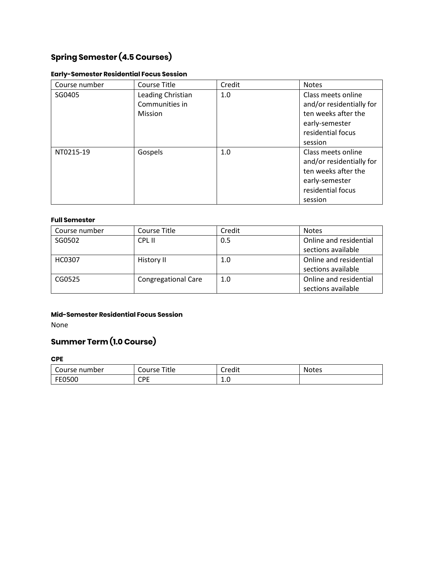### **Spring Semester (4.5 Courses)**

#### **Early-Semester Residential Focus Session**

| Course number | Course Title                                   | Credit | <b>Notes</b>                                                                                                            |
|---------------|------------------------------------------------|--------|-------------------------------------------------------------------------------------------------------------------------|
| SG0405        | Leading Christian<br>Communities in<br>Mission | 1.0    | Class meets online<br>and/or residentially for<br>ten weeks after the<br>early-semester<br>residential focus<br>session |
| NT0215-19     | Gospels                                        | 1.0    | Class meets online<br>and/or residentially for<br>ten weeks after the<br>early-semester<br>residential focus<br>session |

#### **Full Semester**

| Course number | Course Title               | Credit | <b>Notes</b>                                 |
|---------------|----------------------------|--------|----------------------------------------------|
| SG0502        | CPL II                     | 0.5    | Online and residential<br>sections available |
| <b>HC0307</b> | History II                 | 1.0    | Online and residential<br>sections available |
| CG0525        | <b>Congregational Care</b> | 1.0    | Online and residential<br>sections available |

#### **Mid-Semester Residential Focus Session**

None

### **Summer Term (1.0 Course)**

**CPE**

| Course number | Title<br>Course | .<br>$\sim$<br>Credit | <b>Notes</b> |
|---------------|-----------------|-----------------------|--------------|
| FE0500        | ∩PE<br>ິ        | ∸∙∽                   |              |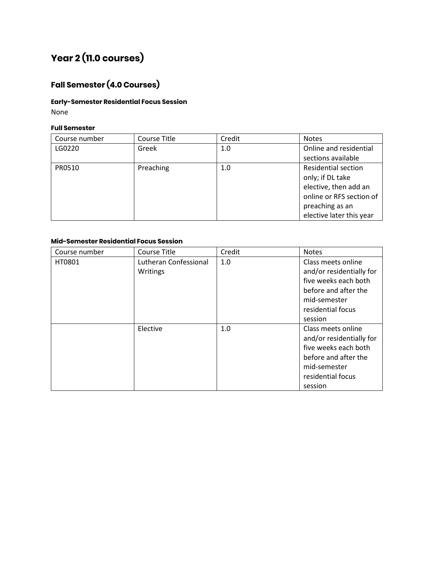# **Year 2 (11.0 courses)**

### **Fall Semester (4.0 Courses)**

#### **Early-Semester Residential Focus Session**

None

#### **Full Semester**

| Course number | Course Title | Credit | <b>Notes</b>               |
|---------------|--------------|--------|----------------------------|
| LG0220        | Greek        | 1.0    | Online and residential     |
|               |              |        | sections available         |
| PR0510        | Preaching    | 1.0    | <b>Residential section</b> |
|               |              |        | only; if DL take           |
|               |              |        | elective, then add an      |
|               |              |        | online or RFS section of   |
|               |              |        | preaching as an            |
|               |              |        | elective later this year   |

#### **Mid-Semester Residential Focus Session**

| Course number | Course Title                      | Credit | <b>Notes</b>                                                                                                                                   |
|---------------|-----------------------------------|--------|------------------------------------------------------------------------------------------------------------------------------------------------|
| HT0801        | Lutheran Confessional<br>Writings | 1.0    | Class meets online<br>and/or residentially for<br>five weeks each both<br>before and after the<br>mid-semester<br>residential focus<br>session |
|               | Elective                          | 1.0    | Class meets online<br>and/or residentially for<br>five weeks each both<br>before and after the<br>mid-semester<br>residential focus<br>session |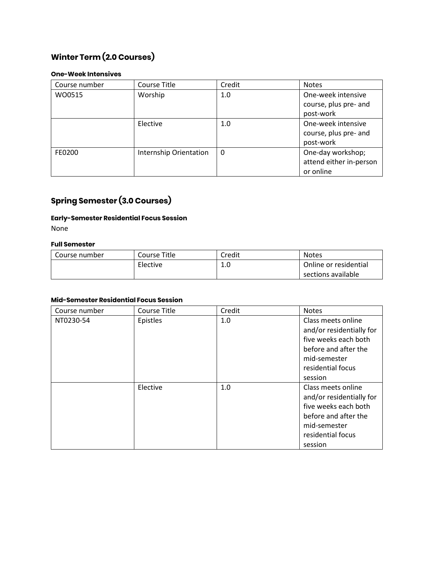### **Winter Term (2.0 Courses)**

#### **One-Week Intensives**

| Course number | Course Title           | Credit   | <b>Notes</b>            |
|---------------|------------------------|----------|-------------------------|
| WO0515        | Worship                | 1.0      | One-week intensive      |
|               |                        |          | course, plus pre- and   |
|               |                        |          | post-work               |
|               | Elective               | 1.0      | One-week intensive      |
|               |                        |          | course, plus pre- and   |
|               |                        |          | post-work               |
| FE0200        | Internship Orientation | $\Omega$ | One-day workshop;       |
|               |                        |          | attend either in-person |
|               |                        |          | or online               |

### **Spring Semester (3.0 Courses)**

#### **Early-Semester Residential Focus Session**

None

#### **Full Semester**

| Course number | Course Title | Credit    | <b>Notes</b>          |
|---------------|--------------|-----------|-----------------------|
|               | Elective     | л.<br>⊥.∪ | Online or residential |
|               |              |           | sections available    |

#### **Mid-Semester Residential Focus Session**

| Course number | Course Title | Credit | <b>Notes</b>                                                                                                                                   |
|---------------|--------------|--------|------------------------------------------------------------------------------------------------------------------------------------------------|
| NT0230-54     | Epistles     | 1.0    | Class meets online<br>and/or residentially for<br>five weeks each both<br>before and after the<br>mid-semester<br>residential focus<br>session |
|               | Elective     | 1.0    | Class meets online<br>and/or residentially for<br>five weeks each both<br>before and after the<br>mid-semester<br>residential focus<br>session |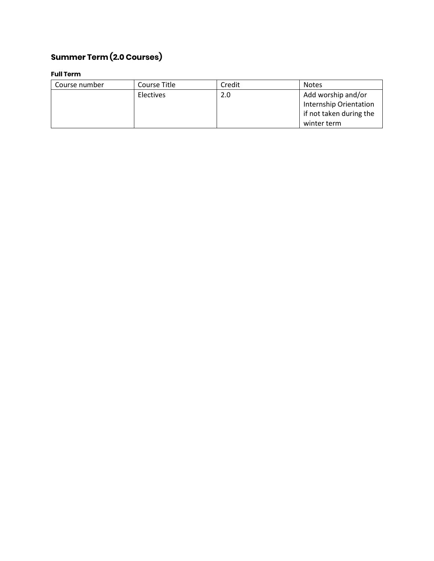## **Summer Term (2.0 Courses)**

#### **Full Term**

| Course number | Course Title | Credit | <b>Notes</b>            |
|---------------|--------------|--------|-------------------------|
|               | Electives    | 2.0    | Add worship and/or      |
|               |              |        | Internship Orientation  |
|               |              |        | if not taken during the |
|               |              |        | winter term             |